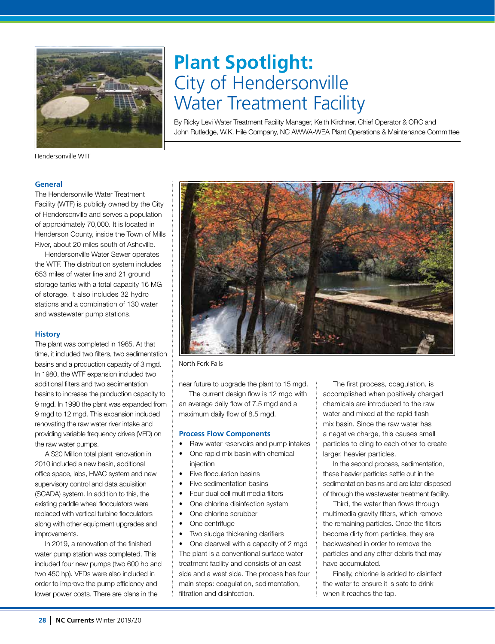

# **Plant Spotlight:**  City of Hendersonville Water Treatment Facility

By Ricky Levi Water Treatment Facility Manager, Keith Kirchner, Chief Operator & ORC and John Rutledge, W.K. Hile Company, NC AWWA-WEA Plant Operations & Maintenance Committee

Hendersonville WTF

## **General**

The Hendersonville Water Treatment Facility (WTF) is publicly owned by the City of Hendersonville and serves a population of approximately 70,000. It is located in Henderson County, inside the Town of Mills River, about 20 miles south of Asheville.

Hendersonville Water Sewer operates the WTF. The distribution system includes 653 miles of water line and 21 ground storage tanks with a total capacity 16 MG of storage. It also includes 32 hydro stations and a combination of 130 water and wastewater pump stations.

#### **History**

The plant was completed in 1965. At that time, it included two filters, two sedimentation basins and a production capacity of 3 mgd. In 1980, the WTF expansion included two additional filters and two sedimentation basins to increase the production capacity to 9 mgd. In 1990 the plant was expanded from 9 mgd to 12 mgd. This expansion included renovating the raw water river intake and providing variable frequency drives (VFD) on the raw water pumps.

A \$20 Million total plant renovation in 2010 included a new basin, additional office space, labs, HVAC system and new supervisory control and data aquisition (SCADA) system. In addition to this, the existing paddle wheel flocculators were replaced with vertical turbine flocculators along with other equipment upgrades and improvements.

In 2019, a renovation of the finished water pump station was completed. This included four new pumps (two 600 hp and two 450 hp). VFDs were also included in order to improve the pump efficiency and lower power costs. There are plans in the



North Fork Falls

near future to upgrade the plant to 15 mgd.

The current design flow is 12 mgd with an average daily flow of 7.5 mgd and a maximum daily flow of 8.5 mgd.

### **Process Flow Components**

- Raw water reservoirs and pump intakes
- One rapid mix basin with chemical injection
- Five flocculation basins
- Five sedimentation basins
- Four dual cell multimedia filters
- One chlorine disinfection system
- One chlorine scrubber
- One centrifuge
- Two sludge thickening clarifiers

• One clearwell with a capacity of 2 mgd The plant is a conventional surface water treatment facility and consists of an east side and a west side. The process has four main steps: coagulation, sedimentation, filtration and disinfection.

The first process, coagulation, is accomplished when positively charged chemicals are introduced to the raw water and mixed at the rapid flash mix basin. Since the raw water has a negative charge, this causes small particles to cling to each other to create larger, heavier particles.

In the second process, sedimentation, these heavier particles settle out in the sedimentation basins and are later disposed of through the wastewater treatment facility.

Third, the water then flows through multimedia gravity filters, which remove the remaining particles. Once the filters become dirty from particles, they are backwashed in order to remove the particles and any other debris that may have accumulated.

Finally, chlorine is added to disinfect the water to ensure it is safe to drink when it reaches the tap.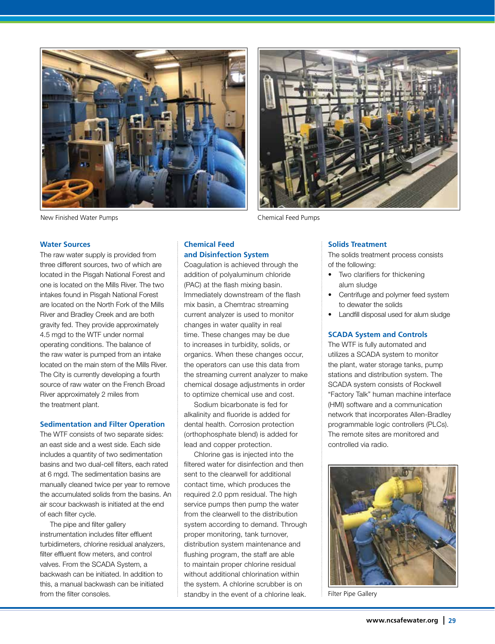



New Finished Water Pumps Chemical Feed Pumps

#### **Water Sources**

The raw water supply is provided from three different sources, two of which are located in the Pisgah National Forest and one is located on the Mills River. The two intakes found in Pisgah National Forest are located on the North Fork of the Mills River and Bradley Creek and are both gravity fed. They provide approximately 4.5 mgd to the WTF under normal operating conditions. The balance of the raw water is pumped from an intake located on the main stem of the Mills River. The City is currently developing a fourth source of raw water on the French Broad River approximately 2 miles from the treatment plant.

#### **Sedimentation and Filter Operation**

The WTF consists of two separate sides: an east side and a west side. Each side includes a quantity of two sedimentation basins and two dual-cell filters, each rated at 6 mgd. The sedimentation basins are manually cleaned twice per year to remove the accumulated solids from the basins. An air scour backwash is initiated at the end of each filter cycle.

The pipe and filter gallery instrumentation includes filter effluent turbidimeters, chlorine residual analyzers, filter effluent flow meters, and control valves. From the SCADA System, a backwash can be initiated. In addition to this, a manual backwash can be initiated from the filter consoles.

# **Chemical Feed and Disinfection System**

Coagulation is achieved through the addition of polyaluminum chloride (PAC) at the flash mixing basin. Immediately downstream of the flash mix basin, a Chemtrac streaming current analyzer is used to monitor changes in water quality in real time. These changes may be due to increases in turbidity, solids, or organics. When these changes occur, the operators can use this data from the streaming current analyzer to make chemical dosage adjustments in order to optimize chemical use and cost.

Sodium bicarbonate is fed for alkalinity and fluoride is added for dental health. Corrosion protection (orthophosphate blend) is added for lead and copper protection.

Chlorine gas is injected into the filtered water for disinfection and then sent to the clearwell for additional contact time, which produces the required 2.0 ppm residual. The high service pumps then pump the water from the clearwell to the distribution system according to demand. Through proper monitoring, tank turnover, distribution system maintenance and flushing program, the staff are able to maintain proper chlorine residual without additional chlorination within the system. A chlorine scrubber is on standby in the event of a chlorine leak.

**Solids Treatment**

The solids treatment process consists of the following:

- Two clarifiers for thickening alum sludge
- Centrifuge and polymer feed system to dewater the solids
- Landfill disposal used for alum sludge

## **SCADA System and Controls**

The WTF is fully automated and utilizes a SCADA system to monitor the plant, water storage tanks, pump stations and distribution system. The SCADA system consists of Rockwell "Factory Talk" human machine interface (HMI) software and a communication network that incorporates Allen-Bradley programmable logic controllers (PLCs). The remote sites are monitored and controlled via radio.



Filter Pipe Gallery